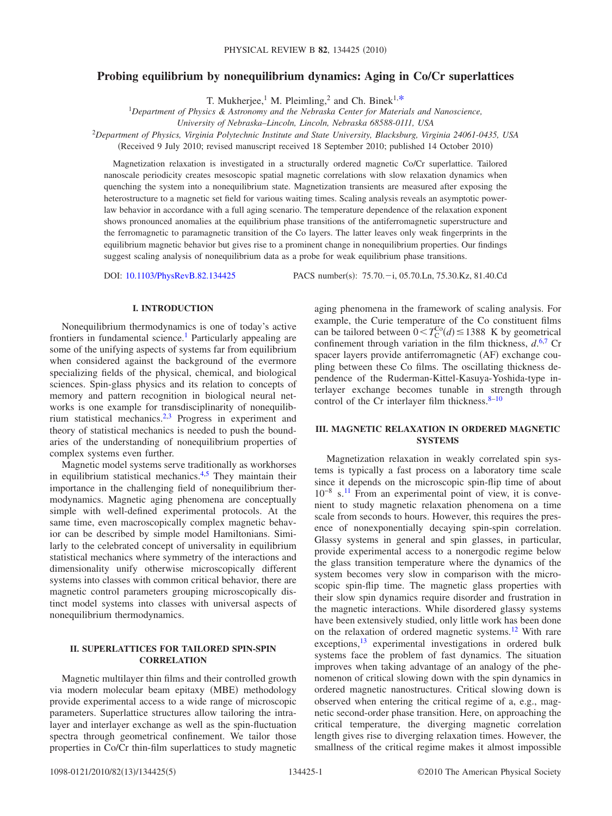# **Probing equilibrium by nonequilibrium dynamics: Aging in Co/Cr superlattices**

T. Mukherjee,<sup>1</sup> M. Pleimling,<sup>2</sup> and Ch. Binek<sup>1[,\\*](#page-3-0)</sup><br><sup>1</sup>Department of Physics & Astronomy and the Nebraska Center for Materials and Nanoscience,

*University of Nebraska–Lincoln, Lincoln, Nebraska 68588-0111, USA*

<sup>2</sup>*Department of Physics, Virginia Polytechnic Institute and State University, Blacksburg, Virginia 24061-0435, USA*

(Received 9 July 2010; revised manuscript received 18 September 2010; published 14 October 2010)

Magnetization relaxation is investigated in a structurally ordered magnetic Co/Cr superlattice. Tailored nanoscale periodicity creates mesoscopic spatial magnetic correlations with slow relaxation dynamics when quenching the system into a nonequilibrium state. Magnetization transients are measured after exposing the heterostructure to a magnetic set field for various waiting times. Scaling analysis reveals an asymptotic powerlaw behavior in accordance with a full aging scenario. The temperature dependence of the relaxation exponent shows pronounced anomalies at the equilibrium phase transitions of the antiferromagnetic superstructure and the ferromagnetic to paramagnetic transition of the Co layers. The latter leaves only weak fingerprints in the equilibrium magnetic behavior but gives rise to a prominent change in nonequilibrium properties. Our findings suggest scaling analysis of nonequilibrium data as a probe for weak equilibrium phase transitions.

DOI: [10.1103/PhysRevB.82.134425](http://dx.doi.org/10.1103/PhysRevB.82.134425)

PACS number(s): 75.70.<sup>-</sup>i, 05.70.Ln, 75.30.Kz, 81.40.Cd

### **I. INTRODUCTION**

Nonequilibrium thermodynamics is one of today's active frontiers in fundamental science.<sup>1</sup> Particularly appealing are some of the unifying aspects of systems far from equilibrium when considered against the background of the evermore specializing fields of the physical, chemical, and biological sciences. Spin-glass physics and its relation to concepts of memory and pattern recognition in biological neural networks is one example for transdisciplinarity of nonequilibrium statistical mechanics[.2,](#page-3-2)[3](#page-3-3) Progress in experiment and theory of statistical mechanics is needed to push the boundaries of the understanding of nonequilibrium properties of complex systems even further.

Magnetic model systems serve traditionally as workhorses in equilibrium statistical mechanics. $4,5$  $4,5$  They maintain their importance in the challenging field of nonequilibrium thermodynamics. Magnetic aging phenomena are conceptually simple with well-defined experimental protocols. At the same time, even macroscopically complex magnetic behavior can be described by simple model Hamiltonians. Similarly to the celebrated concept of universality in equilibrium statistical mechanics where symmetry of the interactions and dimensionality unify otherwise microscopically different systems into classes with common critical behavior, there are magnetic control parameters grouping microscopically distinct model systems into classes with universal aspects of nonequilibrium thermodynamics.

### **II. SUPERLATTICES FOR TAILORED SPIN-SPIN CORRELATION**

Magnetic multilayer thin films and their controlled growth via modern molecular beam epitaxy (MBE) methodology provide experimental access to a wide range of microscopic parameters. Superlattice structures allow tailoring the intralayer and interlayer exchange as well as the spin-fluctuation spectra through geometrical confinement. We tailor those properties in Co/Cr thin-film superlattices to study magnetic aging phenomena in the framework of scaling analysis. For example, the Curie temperature of the Co constituent films can be tailored between  $0 < T_{\text{C}}^{\text{Co}}(d) \le 1388$  K by geometrical confinement through variation in the film thickness, *d*. [6](#page-3-6)[,7](#page-3-7) Cr spacer layers provide antiferromagnetic (AF) exchange coupling between these Co films. The oscillating thickness dependence of the Ruderman-Kittel-Kasuya-Yoshida-type interlayer exchange becomes tunable in strength through control of the Cr interlayer film thickness. $8-10$ 

## **III. MAGNETIC RELAXATION IN ORDERED MAGNETIC SYSTEMS**

Magnetization relaxation in weakly correlated spin systems is typically a fast process on a laboratory time scale since it depends on the microscopic spin-flip time of about 10<sup>-8</sup> s.<sup>11</sup> From an experimental point of view, it is convenient to study magnetic relaxation phenomena on a time scale from seconds to hours. However, this requires the presence of nonexponentially decaying spin-spin correlation. Glassy systems in general and spin glasses, in particular, provide experimental access to a nonergodic regime below the glass transition temperature where the dynamics of the system becomes very slow in comparison with the microscopic spin-flip time. The magnetic glass properties with their slow spin dynamics require disorder and frustration in the magnetic interactions. While disordered glassy systems have been extensively studied, only little work has been done on the relaxation of ordered magnetic systems[.12](#page-3-11) With rare exceptions,<sup>13</sup> experimental investigations in ordered bulk systems face the problem of fast dynamics. The situation improves when taking advantage of an analogy of the phenomenon of critical slowing down with the spin dynamics in ordered magnetic nanostructures. Critical slowing down is observed when entering the critical regime of a, e.g., magnetic second-order phase transition. Here, on approaching the critical temperature, the diverging magnetic correlation length gives rise to diverging relaxation times. However, the smallness of the critical regime makes it almost impossible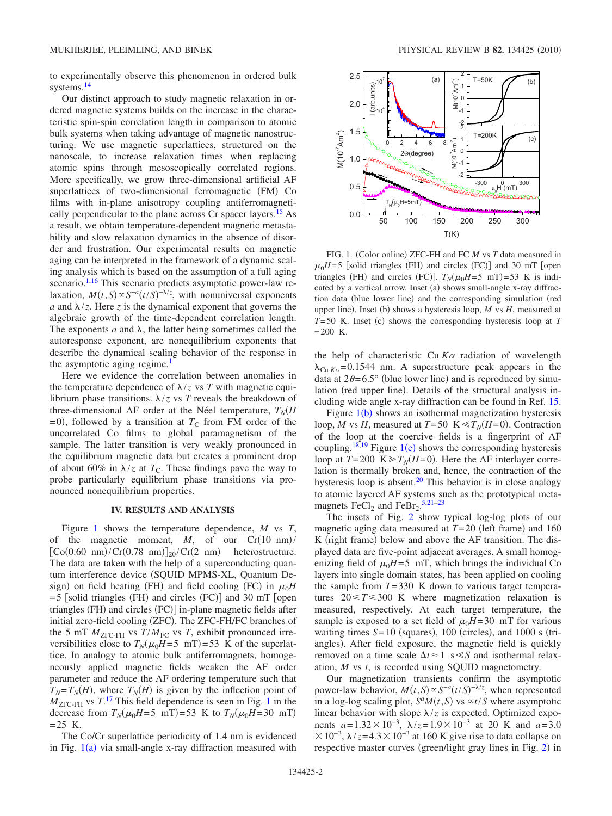to experimentally observe this phenomenon in ordered bulk systems.<sup>14</sup>

Our distinct approach to study magnetic relaxation in ordered magnetic systems builds on the increase in the characteristic spin-spin correlation length in comparison to atomic bulk systems when taking advantage of magnetic nanostructuring. We use magnetic superlattices, structured on the nanoscale, to increase relaxation times when replacing atomic spins through mesoscopically correlated regions. More specifically, we grow three-dimensional artificial AF superlattices of two-dimensional ferromagnetic (FM) Co films with in-plane anisotropy coupling antiferromagnetically perpendicular to the plane across Cr spacer layers.<sup>15</sup> As a result, we obtain temperature-dependent magnetic metastability and slow relaxation dynamics in the absence of disorder and frustration. Our experimental results on magnetic aging can be interpreted in the framework of a dynamic scaling analysis which is based on the assumption of a full aging scenario.<sup>1[,16](#page-4-3)</sup> This scenario predicts asymptotic power-law relaxation,  $M(t, S) \propto S^{-a} (t/S)^{-\lambda/z}$ , with nonuniversal exponents *a* and  $\lambda/z$ . Here *z* is the dynamical exponent that governs the algebraic growth of the time-dependent correlation length. The exponents  $a$  and  $\lambda$ , the latter being sometimes called the autoresponse exponent, are nonequilibrium exponents that describe the dynamical scaling behavior of the response in the asymptotic aging regime.<sup>1</sup>

Here we evidence the correlation between anomalies in the temperature dependence of  $\lambda$ /*z* vs *T* with magnetic equilibrium phase transitions.  $\lambda$ /*z* vs *T* reveals the breakdown of three-dimensional AF order at the Néel temperature,  $T_N$ (*H*  $= 0$ ), followed by a transition at  $T<sub>C</sub>$  from FM order of the uncorrelated Co films to global paramagnetism of the sample. The latter transition is very weakly pronounced in the equilibrium magnetic data but creates a prominent drop of about 60% in  $\lambda$ /*z* at *T*<sub>C</sub>. These findings pave the way to probe particularly equilibrium phase transitions via pronounced nonequilibrium properties.

## **IV. RESULTS AND ANALYSIS**

Figure [1](#page-1-0) shows the temperature dependence, *M* vs *T*, of the magnetic moment,  $M$ , of our  $Cr(10 \text{ nm})/$  $\left[\text{Co}(0.60 \text{ nm})/\text{Cr}(0.78 \text{ nm})\right]_{20}/\text{Cr}(2 \text{ nm})$  heterostructure. The data are taken with the help of a superconducting quantum interference device (SQUID MPMS-XL, Quantum Design) on field heating (FH) and field cooling (FC) in  $\mu_0H$  $= 5$  [solid triangles (FH) and circles (FC)] and 30 mT [open triangles (FH) and circles (FC)] in-plane magnetic fields after initial zero-field cooling (ZFC). The ZFC-FH/FC branches of the 5 mT  $M_{ZFC-FH}$  vs  $T/M_{FC}$  vs *T*, exhibit pronounced irreversibilities close to  $T_N(\mu_0 H = 5 \text{ mT}) = 53 \text{ K}$  of the superlattice. In analogy to atomic bulk antiferromagnets, homogeneously applied magnetic fields weaken the AF order parameter and reduce the AF ordering temperature such that  $T_N = T_N(H)$ , where  $T_N(H)$  is given by the inflection point of  $M_{\text{ZFC-FH}}$  vs  $T$ .<sup>[17](#page-4-4)</sup> This field dependence is seen in Fig. [1](#page-1-0) in the decrease from  $T_N(\mu_0 H = 5 \text{ mT}) = 53 \text{ K}$  to  $T_N(\mu_0 H = 30 \text{ mT})$  $= 25$  K.

The Co/Cr superlattice periodicity of 1.4 nm is evidenced in Fig.  $1(a)$  $1(a)$  via small-angle x-ray diffraction measured with

<span id="page-1-0"></span>

FIG. 1. (Color online) ZFC-FH and FC *M* vs *T* data measured in  $\mu_0H = 5$  [solid triangles (FH) and circles (FC)] and 30 mT [open triangles (FH) and circles (FC)].  $T_N(\mu_0H=5 \text{ mT})=53 \text{ K}$  is indicated by a vertical arrow. Inset (a) shows small-angle x-ray diffraction data (blue lower line) and the corresponding simulation (red upper line). Inset (b) shows a hysteresis loop, *M* vs *H*, measured at  $T=50$  K. Inset (c) shows the corresponding hysteresis loop at  $T$  $= 200$  K.

the help of characteristic Cu  $K\alpha$  radiation of wavelength  $\lambda_{\text{Cu }K_{\alpha}} = 0.1544$  nm. A superstructure peak appears in the data at  $2\theta = 6.5^{\circ}$  (blue lower line) and is reproduced by simulation (red upper line). Details of the structural analysis including wide angle x-ray diffraction can be found in Ref. [15.](#page-4-2)

Figure  $1(b)$  $1(b)$  shows an isothermal magnetization hysteresis loop, *M* vs *H*, measured at  $T = 50$  K  $\leq T_N(H=0)$ . Contraction of the loop at the coercive fields is a fingerprint of AF coupling.<sup>18[,19](#page-4-6)</sup> Figure [1](#page-1-0)(c) shows the corresponding hysteresis loop at  $T = 200 \text{ K} \gg T_N(H= 0)$ . Here the AF interlayer correlation is thermally broken and, hence, the contraction of the hysteresis loop is absent.<sup>20</sup> This behavior is in close analogy to atomic layered AF systems such as the prototypical metamagnets  $\text{FeCl}_2$  and  $\text{FeBr}_2$ .<sup>[5](#page-3-5)[,21](#page-4-8)[–23](#page-4-9)</sup>

The insets of Fig. [2](#page-2-0) show typical log-log plots of our magnetic aging data measured at  $T=20$  (left frame) and 160 K (right frame) below and above the AF transition. The displayed data are five-point adjacent averages. A small homogenizing field of  $\mu_0H=5$  mT, which brings the individual Co layers into single domain states, has been applied on cooling the sample from  $T=330$  K down to various target temperatures  $20 \le T \le 300$  K where magnetization relaxation is measured, respectively. At each target temperature, the sample is exposed to a set field of  $\mu_0H$ = 30 mT for various waiting times  $S = 10$  (squares),  $100$  (circles), and  $1000$  s (triangles). After field exposure, the magnetic field is quickly removed on a time scale  $\Delta t \approx 1$  s  $\leq S$  and isothermal relaxation, *M* vs *t*, is recorded using SQUID magnetometry.

Our magnetization transients confirm the asymptotic power-law behavior,  $M(t, S) \propto S^{-a} (t/S)^{-\lambda/z}$ , when represented in a log-log scaling plot,  $S^aM(t, S)$  vs  $\alpha t/S$  where asymptotic linear behavior with slope  $\lambda/z$  is expected. Optimized exponents  $a=1.32\times10^{-3}$ ,  $\lambda/z=1.9\times10^{-3}$  at 20 K and  $a=3.0$  $\times 10^{-3}$ ,  $\lambda$ / $z$ =4.3  $\times 10^{-3}$  at 160 K give rise to data collapse on respective master curves (green/light gray lines in Fig. [2](#page-2-0)) in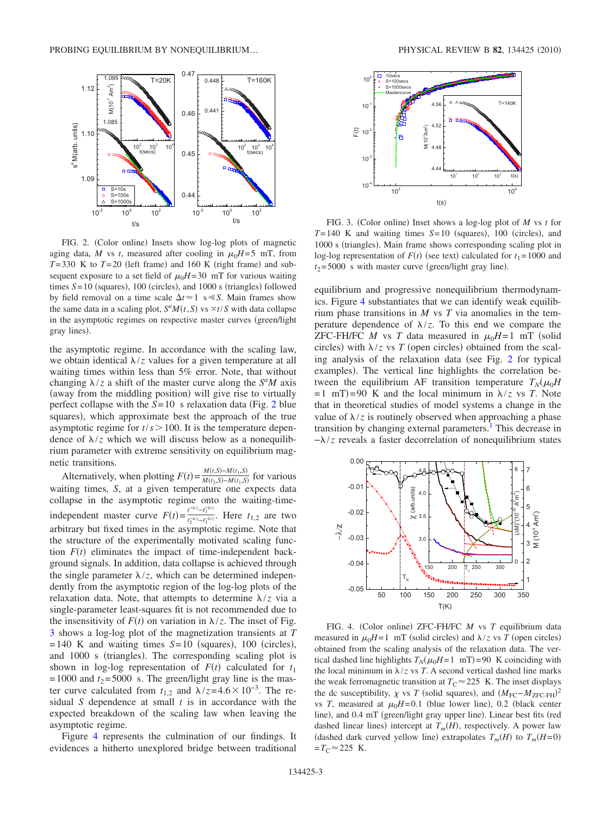<span id="page-2-0"></span>

FIG. 2. (Color online) Insets show log-log plots of magnetic aging data, *M* vs *t*, measured after cooling in  $\mu_0H = 5$  mT, from  $T = 330$  K to  $T = 20$  (left frame) and 160 K (right frame) and subsequent exposure to a set field of  $\mu_0H$ = 30 mT for various waiting times  $S = 10$  (squares), 100 (circles), and 1000 s (triangles) followed by field removal on a time scale  $\Delta t \approx 1$  s  $\ll$  *S*. Main frames show the same data in a scaling plot,  $S^aM(t, S)$  vs  $\alpha t/S$  with data collapse in the asymptotic regimes on respective master curves (green/light gray lines).

the asymptotic regime. In accordance with the scaling law, we obtain identical  $\lambda$ /*z* values for a given temperature at all waiting times within less than 5% error. Note, that without changing  $\lambda$ /*z* a shift of the master curve along the *S<sup>a</sup>M* axis (away from the middling position) will give rise to virtually perfect collapse with the  $S = 10$  s relaxation data (Fig. [2](#page-2-0) blue squares), which approximate best the approach of the true asymptotic regime for  $t/s > 100$ . It is the temperature dependence of  $\lambda$ /*z* which we will discuss below as a nonequilibrium parameter with extreme sensitivity on equilibrium magnetic transitions.

Alternatively, when plotting  $F(t) = \frac{M(t,S) - M(t_1,S)}{M(t_2,S) - M(t_1,S)}$  for various waiting times, *S*, at a given temperature one expects data collapse in the asymptotic regime onto the waiting-timeindependent master curve  $F(t) = \frac{t^{-\lambda/z} - t_1^{-\lambda/z}}{t^{-\lambda/z} - t_1^{-\lambda/z}}$  $\frac{t}{t_2^{\frac{N}{2}-t_1^{\frac{N}{2}}} \cdot t_1^{\frac{N}{2}}}$ . Here  $t_{1,2}$  are two arbitrary but fixed times in the asymptotic regime. Note that the structure of the experimentally motivated scaling function  $F(t)$  eliminates the impact of time-independent background signals. In addition, data collapse is achieved through the single parameter  $\lambda$ /*z*, which can be determined independently from the asymptotic region of the log-log plots of the relaxation data. Note, that attempts to determine  $\lambda/z$  via a single-parameter least-squares fit is not recommended due to the insensitivity of  $F(t)$  on variation in  $\lambda/z$ . The inset of Fig. [3](#page-2-1) shows a log-log plot of the magnetization transients at *T*  $= 140$  K and waiting times  $S = 10$  (squares), 100 (circles), and 1000 s (triangles). The corresponding scaling plot is shown in log-log representation of  $F(t)$  calculated for  $t_1$  $= 1000$  and  $t_2 = 5000$  s. The green/light gray line is the master curve calculated from  $t_{1,2}$  and  $\lambda/z = 4.6 \times 10^{-3}$ . The residual *S* dependence at small *t* is in accordance with the expected breakdown of the scaling law when leaving the asymptotic regime.

Figure [4](#page-2-2) represents the culmination of our findings. It evidences a hitherto unexplored bridge between traditional

<span id="page-2-1"></span>

FIG. 3. (Color online) Inset shows a log-log plot of *M* vs *t* for  $T=140$  K and waiting times  $S=10$  (squares), 100 (circles), and 1000 s (triangles). Main frame shows corresponding scaling plot in log-log representation of  $F(t)$  (see text) calculated for  $t_1 = 1000$  and  $t_2$ =5000 s with master curve (green/light gray line).

equilibrium and progressive nonequilibrium thermodynamics. Figure [4](#page-2-2) substantiates that we can identify weak equilibrium phase transitions in *M* vs *T* via anomalies in the temperature dependence of  $\lambda/z$ . To this end we compare the ZFC-FH/FC *M* vs *T* data measured in  $\mu_0H=1$  mT (solid circles) with  $\lambda$ /*z* vs *T* (open circles) obtained from the scal-ing analysis of the relaxation data (see Fig. [2](#page-2-0) for typical examples). The vertical line highlights the correlation between the equilibrium AF transition temperature  $T_N(\mu_0H)$  $= 1$  mT)=90 K and the local minimum in  $\lambda/z$  vs *T*. Note that in theoretical studies of model systems a change in the value of  $\lambda$ /*z* is routinely observed when approaching a phase transition by changing external parameters.<sup>1</sup> This decrease in −/*z* reveals a faster decorrelation of nonequilibrium states

<span id="page-2-2"></span>

FIG. 4. (Color online) ZFC-FH/FC *M* vs *T* equilibrium data measured in  $\mu_0 H = 1$  mT (solid circles) and  $\lambda / z$  vs *T* (open circles) obtained from the scaling analysis of the relaxation data. The vertical dashed line highlights  $T_N(\mu_0 H = 1 \text{ mT}) = 90 \text{ K}$  coinciding with the local minimum in  $\lambda$ /*z* vs *T*. A second vertical dashed line marks the weak ferromagnetic transition at  $T_c \approx 225$  K. The inset displays the dc susceptibility,  $\chi$  vs *T* (solid squares), and  $(M_{\text{FC}}-M_{\text{ZFC-FH}})^2$ vs *T*, measured at  $\mu_0 H = 0.1$  (blue lower line), 0.2 (black center line), and 0.4 mT (green/light gray upper line). Linear best fits (red dashed linear lines) intercept at  $T_m(H)$ , respectively. A power law (dashed dark curved yellow line) extrapolates  $T_m(H)$  to  $T_m(H=0)$  $=T_C \approx 225$  K.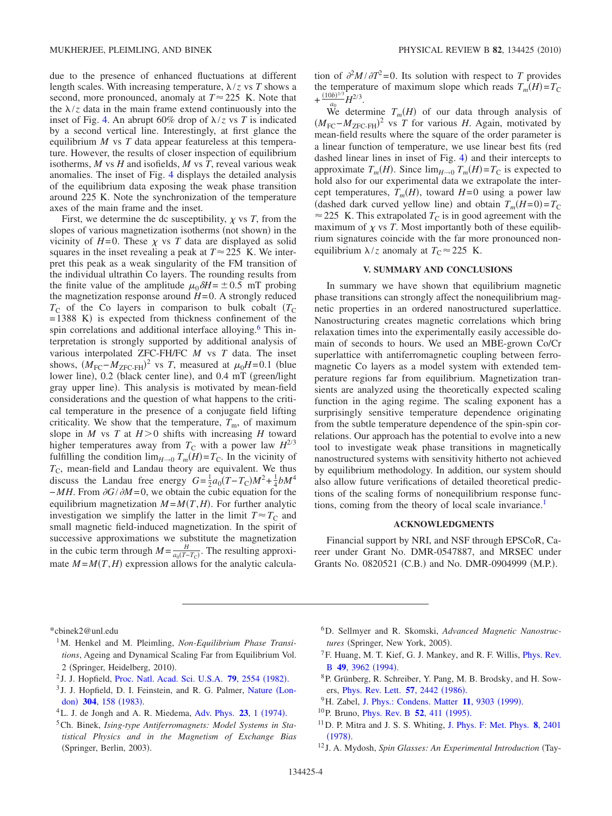due to the presence of enhanced fluctuations at different length scales. With increasing temperature,  $\lambda$ /*z* vs *T* shows a second, more pronounced, anomaly at  $T \approx 225$  K. Note that the  $\lambda/z$  data in the main frame extend continuously into the inset of Fig. [4.](#page-2-2) An abrupt 60% drop of  $\lambda$ /*z* vs *T* is indicated by a second vertical line. Interestingly, at first glance the equilibrium *M* vs *T* data appear featureless at this temperature. However, the results of closer inspection of equilibrium isotherms, *M* vs *H* and isofields, *M* vs *T*, reveal various weak anomalies. The inset of Fig. [4](#page-2-2) displays the detailed analysis of the equilibrium data exposing the weak phase transition around 225 K. Note the synchronization of the temperature axes of the main frame and the inset.

First, we determine the dc susceptibility,  $\chi$  vs *T*, from the slopes of various magnetization isotherms (not shown) in the vicinity of  $H=0$ . These  $\chi$  vs *T* data are displayed as solid squares in the inset revealing a peak at  $T \approx 225$  K. We interpret this peak as a weak singularity of the FM transition of the individual ultrathin Co layers. The rounding results from the finite value of the amplitude  $\mu_0 \delta H = \pm 0.5$  mT probing the magnetization response around  $H=0$ . A strongly reduced  $T_{\rm C}$  of the Co layers in comparison to bulk cobalt  $(T_{\rm C})$  $= 1388$  K) is expected from thickness confinement of the spin correlations and additional interface alloying.<sup>6</sup> This interpretation is strongly supported by additional analysis of various interpolated ZFC-FH/FC *M* vs *T* data. The inset shows,  $(M_{\text{FC}}-M_{\text{ZFC-FH}})^2$  vs *T*, measured at  $\mu_0 H = 0.1$  (blue lower line), 0.2 (black center line), and 0.4 mT (green/light gray upper line). This analysis is motivated by mean-field considerations and the question of what happens to the critical temperature in the presence of a conjugate field lifting criticality. We show that the temperature,  $T<sub>m</sub>$ , of maximum slope in *M* vs *T* at  $H>0$  shifts with increasing *H* toward higher temperatures away from  $T_c$  with a power law  $H^{2/3}$ fulfilling the condition  $\lim_{H\to 0} T_m(H) = T_C$ . In the vicinity of  $T_{\rm C}$ , mean-field and Landau theory are equivalent. We thus discuss the Landau free energy  $G = \frac{1}{2}a_0(T - T_C)M^2 + \frac{1}{4}bM^4$  $-MH$ . From  $\partial G/\partial M = 0$ , we obtain the cubic equation for the equilibrium magnetization  $M = M(T, H)$ . For further analytic investigation we simplify the latter in the limit  $T \approx T_C$  and small magnetic field-induced magnetization. In the spirit of successive approximations we substitute the magnetization in the cubic term through  $M = \frac{H}{a_0(T-T_C)}$ . The resulting approximate  $M = M(T, H)$  expression allows for the analytic calculation of  $\partial^2 M / \partial T^2 = 0$ . Its solution with respect to *T* provides the temperature of maximum slope which reads  $T_m(H) = T_C$  $+\frac{(10b)^{1/3}}{a_0}H^{2/3}.$ 

We determine  $T_m(H)$  of our data through analysis of  $(M_{\text{FC}}-M_{\text{ZFC-FH}})^2$  vs *T* for various *H*. Again, motivated by mean-field results where the square of the order parameter is a linear function of temperature, we use linear best fits (red dashed linear lines in inset of Fig.  $4$ ) and their intercepts to approximate  $T_m(H)$ . Since  $\lim_{H\to 0} T_m(H) = T_C$  is expected to hold also for our experimental data we extrapolate the intercept temperatures,  $T_m(H)$ , toward  $H=0$  using a power law (dashed dark curved yellow line) and obtain  $T_m(H=0) = T_C$  $\approx$  225 K. This extrapolated  $T<sub>C</sub>$  is in good agreement with the maximum of  $\chi$  vs *T*. Most importantly both of these equilibrium signatures coincide with the far more pronounced nonequilibrium  $\lambda/z$  anomaly at  $T_c \approx 225$  K.

#### **V. SUMMARY AND CONCLUSIONS**

In summary we have shown that equilibrium magnetic phase transitions can strongly affect the nonequilibrium magnetic properties in an ordered nanostructured superlattice. Nanostructuring creates magnetic correlations which bring relaxation times into the experimentally easily accessible domain of seconds to hours. We used an MBE-grown Co/Cr superlattice with antiferromagnetic coupling between ferromagnetic Co layers as a model system with extended temperature regions far from equilibrium. Magnetization transients are analyzed using the theoretically expected scaling function in the aging regime. The scaling exponent has a surprisingly sensitive temperature dependence originating from the subtle temperature dependence of the spin-spin correlations. Our approach has the potential to evolve into a new tool to investigate weak phase transitions in magnetically nanostructured systems with sensitivity hitherto not achieved by equilibrium methodology. In addition, our system should also allow future verifications of detailed theoretical predictions of the scaling forms of nonequilibrium response functions, coming from the theory of local scale invariance.<sup>1</sup>

#### **ACKNOWLEDGMENTS**

Financial support by NRI, and NSF through EPSCoR, Career under Grant No. DMR-0547887, and MRSEC under Grants No. 0820521 (C.B.) and No. DMR-0904999 (M.P.).

<span id="page-3-0"></span>\*cbinek2@unl.edu

- <span id="page-3-1"></span>1M. Henkel and M. Pleimling, *Non-Equilibrium Phase Transitions*, Ageing and Dynamical Scaling Far from Equilibrium Vol. 2 (Springer, Heidelberg, 2010).
- <span id="page-3-2"></span><sup>2</sup> J. J. Hopfield, [Proc. Natl. Acad. Sci. U.S.A.](http://dx.doi.org/10.1073/pnas.79.8.2554) **79**, 2554 (1982).
- <span id="page-3-3"></span><sup>3</sup> J. J. Hopfield, D. I. Feinstein, and R. G. Palmer, [Nature](http://dx.doi.org/10.1038/304158a0) (Lon-don) 304[, 158](http://dx.doi.org/10.1038/304158a0) (1983).
- <span id="page-3-4"></span> ${}^{4}$ L. J. de Jongh and A. R. Miedema, [Adv. Phys.](http://dx.doi.org/10.1080/00018739700101558) **23**, 1 (1974).
- <span id="page-3-5"></span>5Ch. Binek, *Ising-type Antiferromagnets: Model Systems in Statistical Physics and in the Magnetism of Exchange Bias* (Springer, Berlin, 2003).
- <span id="page-3-6"></span>6D. Sellmyer and R. Skomski, *Advanced Magnetic Nanostruc*tures (Springer, New York, 2005).
- <span id="page-3-7"></span><sup>7</sup>F. Huang, M. T. Kief, G. J. Mankey, and R. F. Willis, *[Phys. Rev.](http://dx.doi.org/10.1103/PhysRevB.49.3962)* B **49**[, 3962](http://dx.doi.org/10.1103/PhysRevB.49.3962) (1994).
- <span id="page-3-8"></span>8P. Grünberg, R. Schreiber, Y. Pang, M. B. Brodsky, and H. Sowers, *[Phys. Rev. Lett.](http://dx.doi.org/10.1103/PhysRevLett.57.2442)* **57**, 2442 (1986).
- <sup>9</sup>H. Zabel, [J. Phys.: Condens. Matter](http://dx.doi.org/10.1088/0953-8984/11/48/301) 11, 9303 (1999).
- <span id="page-3-9"></span><sup>10</sup>P. Bruno, *[Phys. Rev. B](http://dx.doi.org/10.1103/PhysRevB.52.411)* **52**, 411 (1995).
- <span id="page-3-10"></span>11D. P. Mitra and J. S. S. Whiting, [J. Phys. F: Met. Phys.](http://dx.doi.org/10.1088/0305-4608/8/11/023) **8**, 2401  $(1978).$  $(1978).$  $(1978).$
- <span id="page-3-11"></span><sup>12</sup> J. A. Mydosh, *Spin Glasses: An Experimental Introduction* Tay-